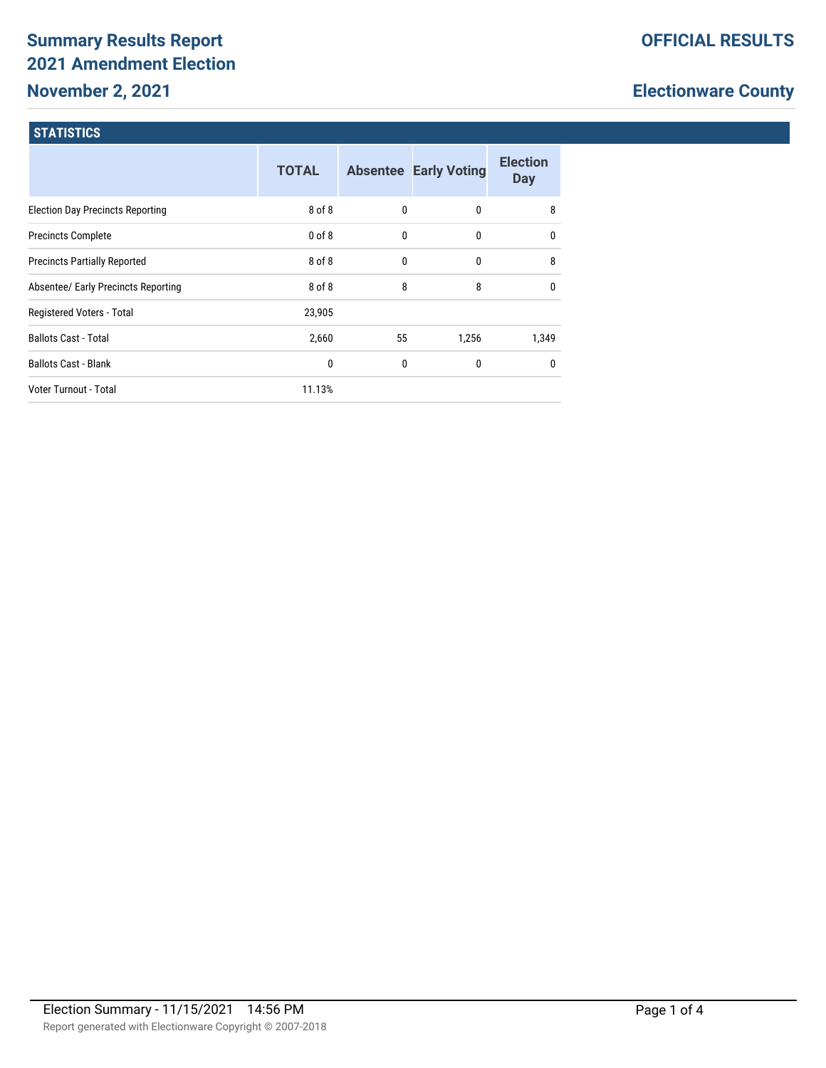# **Summary Results Report 2021 Amendment Election**

# **November 2, 2021**

# **Electionware County**

## **STATISTICS**

|                                         | <b>TOTAL</b> |    | <b>Absentee Early Voting</b> | <b>Election</b><br><b>Day</b> |
|-----------------------------------------|--------------|----|------------------------------|-------------------------------|
| <b>Election Day Precincts Reporting</b> | 8 of 8       | 0  | 0                            | 8                             |
| <b>Precincts Complete</b>               | $0$ of $8$   | 0  | 0                            | $\mathbf{0}$                  |
| <b>Precincts Partially Reported</b>     | 8 of 8       | 0  | 0                            | 8                             |
| Absentee/ Early Precincts Reporting     | 8 of 8       | 8  | 8                            | $\mathbf{0}$                  |
| Registered Voters - Total               | 23,905       |    |                              |                               |
| <b>Ballots Cast - Total</b>             | 2,660        | 55 | 1,256                        | 1,349                         |
| <b>Ballots Cast - Blank</b>             | 0            | 0  | 0                            | $\mathbf{0}$                  |
| Voter Turnout - Total                   | 11.13%       |    |                              |                               |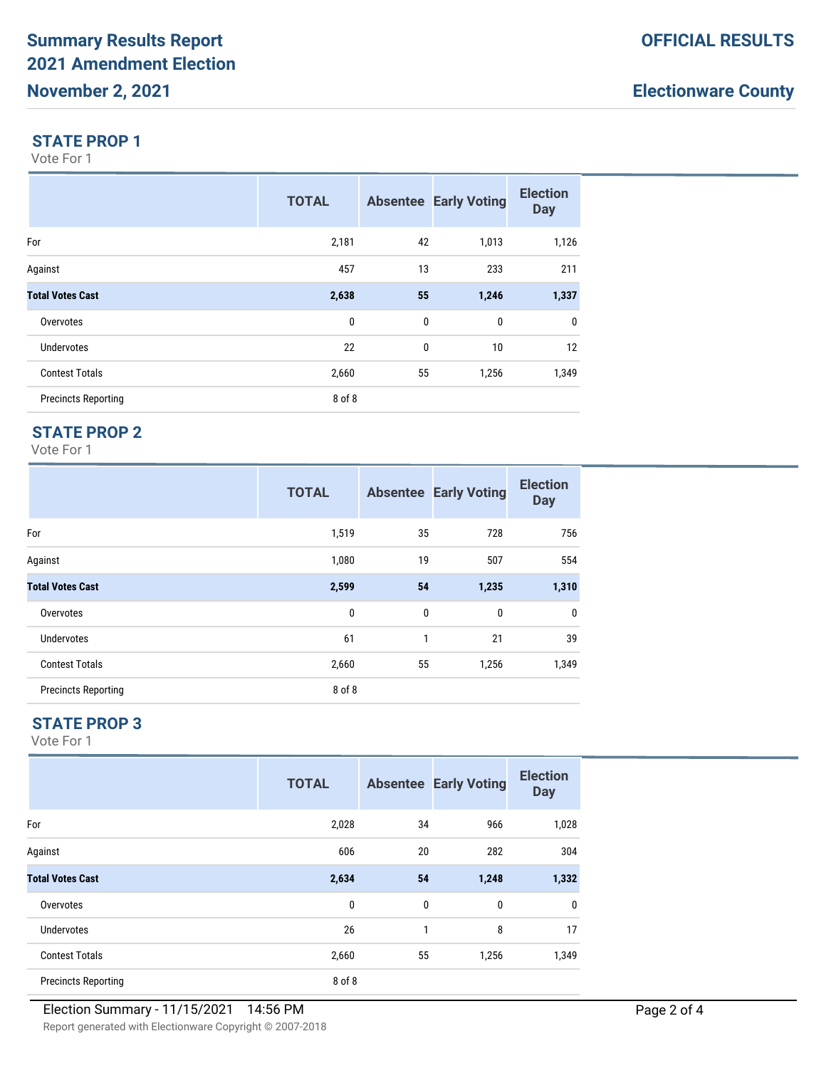# **Electionware County**

#### **STATE PROP 1**

Vote For 1

|                            | <b>TOTAL</b> |              | <b>Absentee Early Voting</b> | <b>Election</b><br><b>Day</b> |
|----------------------------|--------------|--------------|------------------------------|-------------------------------|
| For                        | 2,181        | 42           | 1,013                        | 1,126                         |
| Against                    | 457          | 13           | 233                          | 211                           |
| <b>Total Votes Cast</b>    | 2,638        | 55           | 1,246                        | 1,337                         |
| Overvotes                  | 0            | $\mathbf{0}$ | $\mathbf{0}$                 | $\mathbf 0$                   |
| <b>Undervotes</b>          | 22           | $\mathbf{0}$ | 10                           | 12                            |
| <b>Contest Totals</b>      | 2,660        | 55           | 1,256                        | 1,349                         |
| <b>Precincts Reporting</b> | 8 of 8       |              |                              |                               |

## **STATE PROP 2**

Vote For 1

|                            | <b>TOTAL</b> |              | <b>Absentee Early Voting</b> | <b>Election</b><br><b>Day</b> |
|----------------------------|--------------|--------------|------------------------------|-------------------------------|
| For                        | 1,519        | 35           | 728                          | 756                           |
| Against                    | 1,080        | 19           | 507                          | 554                           |
| <b>Total Votes Cast</b>    | 2,599        | 54           | 1,235                        | 1,310                         |
| Overvotes                  | $\mathbf 0$  | $\mathbf{0}$ | $\mathbf 0$                  | $\mathbf{0}$                  |
| <b>Undervotes</b>          | 61           | 1            | 21                           | 39                            |
| <b>Contest Totals</b>      | 2,660        | 55           | 1,256                        | 1,349                         |
| <b>Precincts Reporting</b> | 8 of 8       |              |                              |                               |

## **STATE PROP 3**

Vote For 1

|                            | <b>TOTAL</b> |    | <b>Absentee Early Voting</b> | <b>Election</b><br><b>Day</b> |
|----------------------------|--------------|----|------------------------------|-------------------------------|
| For                        | 2,028        | 34 | 966                          | 1,028                         |
| Against                    | 606          | 20 | 282                          | 304                           |
| <b>Total Votes Cast</b>    | 2,634        | 54 | 1,248                        | 1,332                         |
| Overvotes                  | 0            | 0  | 0                            | 0                             |
| Undervotes                 | 26           | 1  | 8                            | 17                            |
| <b>Contest Totals</b>      | 2,660        | 55 | 1,256                        | 1,349                         |
| <b>Precincts Reporting</b> | 8 of 8       |    |                              |                               |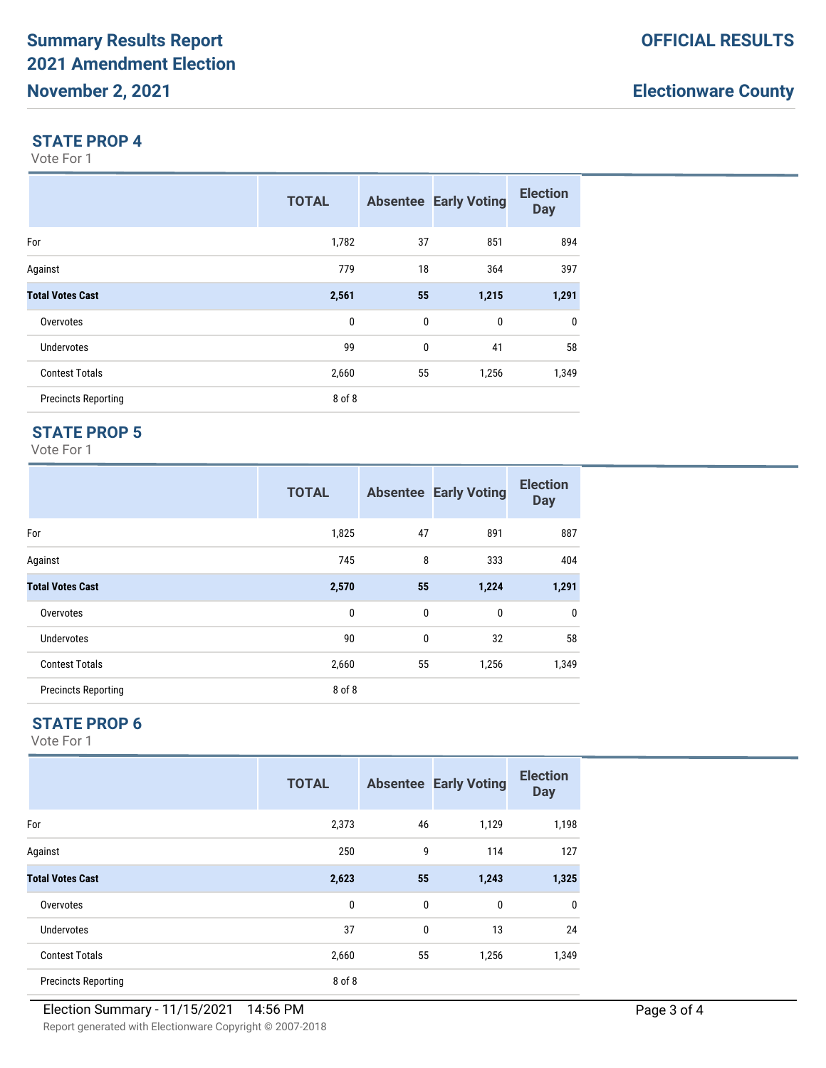# **Electionware County**

#### **STATE PROP 4**

Vote For 1

|                            | <b>TOTAL</b> |              | <b>Absentee Early Voting</b> | <b>Election</b><br><b>Day</b> |
|----------------------------|--------------|--------------|------------------------------|-------------------------------|
| For                        | 1,782        | 37           | 851                          | 894                           |
| Against                    | 779          | 18           | 364                          | 397                           |
| <b>Total Votes Cast</b>    | 2,561        | 55           | 1,215                        | 1,291                         |
| Overvotes                  | 0            | $\mathbf{0}$ | $\mathbf{0}$                 | $\mathbf 0$                   |
| <b>Undervotes</b>          | 99           | $\mathbf{0}$ | 41                           | 58                            |
| <b>Contest Totals</b>      | 2,660        | 55           | 1,256                        | 1,349                         |
| <b>Precincts Reporting</b> | 8 of 8       |              |                              |                               |

### **STATE PROP 5**

Vote For 1

|                            | <b>TOTAL</b> |              | <b>Absentee Early Voting</b> | <b>Election</b><br><b>Day</b> |
|----------------------------|--------------|--------------|------------------------------|-------------------------------|
| For                        | 1,825        | 47           | 891                          | 887                           |
| Against                    | 745          | 8            | 333                          | 404                           |
| <b>Total Votes Cast</b>    | 2,570        | 55           | 1,224                        | 1,291                         |
| Overvotes                  | $\mathbf 0$  | $\mathbf{0}$ | $\mathbf 0$                  | $\mathbf 0$                   |
| <b>Undervotes</b>          | 90           | $\mathbf{0}$ | 32                           | 58                            |
| <b>Contest Totals</b>      | 2,660        | 55           | 1,256                        | 1,349                         |
| <b>Precincts Reporting</b> | 8 of 8       |              |                              |                               |

#### **STATE PROP 6**

Vote For 1

|                            | <b>TOTAL</b> |          | <b>Absentee Early Voting</b> | <b>Election</b><br><b>Day</b> |
|----------------------------|--------------|----------|------------------------------|-------------------------------|
| For                        | 2,373        | 46       | 1,129                        | 1,198                         |
| Against                    | 250          | 9        | 114                          | 127                           |
| <b>Total Votes Cast</b>    | 2,623        | 55       | 1,243                        | 1,325                         |
| Overvotes                  | 0            | 0        | 0                            | 0                             |
| Undervotes                 | 37           | $\bf{0}$ | 13                           | 24                            |
| <b>Contest Totals</b>      | 2,660        | 55       | 1,256                        | 1,349                         |
| <b>Precincts Reporting</b> | 8 of 8       |          |                              |                               |